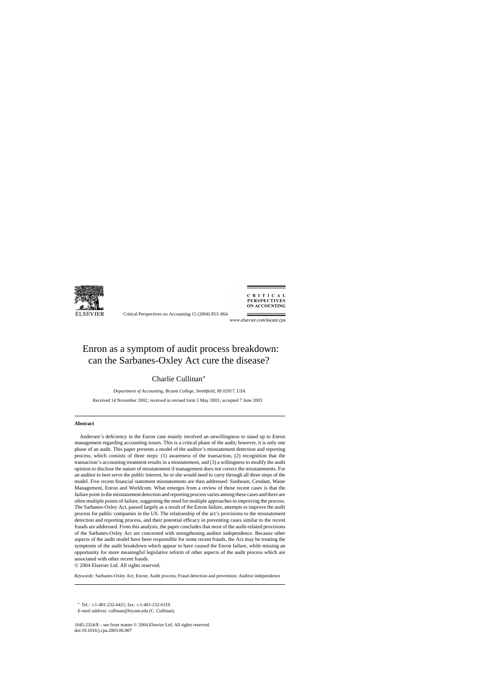

Critical Perspectives on Accounting 15 (2004) 853–864

CRITICAL **PERSPECTIVES ON ACCOUNTING** 

www.elsevier.com/locate/cpa

# Enron as a symptom of audit process breakdown: can the Sarbanes-Oxley Act cure the disease?

# Charlie Cullinan∗

*Department of Accounting, Bryant College, Smithfield, RI 02917, USA* Received 14 November 2002; received in revised form 5 May 2003; accepted 7 June 2003

### **Abstract**

Andersen's deficiency in the Enron case mainly involved an unwillingness to stand up to Enron management regarding accounting issues. This is a critical phase of the audit; however, it is only one phase of an audit. This paper presents a model of the auditor's misstatement detection and reporting process, which consists of three steps: (1) awareness of the transaction, (2) recognition that the transaction's accounting treatment results in a misstatement, and (3) a willingness to modify the audit opinion to disclose the nature of misstatement if management does not correct the misstatements. For an auditor to best serve the public interest, he or she would need to carry through all three steps of the model. Five recent financial statement misstatements are then addressed: Sunbeam, Cendant, Waste Management, Enron and Worldcom. What emerges from a review of these recent cases is that the failure point in the misstatement detection and reporting process varies among these cases and there are often multiple points of failure, suggesting the need for multiple approaches to improving the process. The Sarbanes-Oxley Act, passed largely as a result of the Enron failure, attempts to improve the audit process for public companies in the US. The relationship of the act's provisions to the misstatement detection and reporting process, and their potential efficacy in preventing cases similar to the recent frauds are addressed. From this analysis, the paper concludes that most of the audit-related provisions of the Sarbanes-Oxley Act are concerned with strengthening auditor independence. Because other aspects of the audit model have been responsible for some recent frauds, the Act may be treating the symptoms of the audit breakdown which appear to have caused the Enron failure, while missing an opportunity for more meaningful legislative reform of other aspects of the audit process which are associated with other recent frauds.

© 2004 Elsevier Ltd. All rights reserved.

*Keywords:* Sarbanes-Oxley Act; Enron; Audit process; Fraud detection and prevention; Auditor independence

 $*$  Tel.:  $+1-401-232-6421$ ; fax:  $+1-401-232-6319$ .

*E-mail address:* cullinan@bryant.edu (C. Cullinan).

1045-2354/\$ – see front matter © 2004 Elsevier Ltd. All rights reserved. doi:10.1016/j.cpa.2003.06.007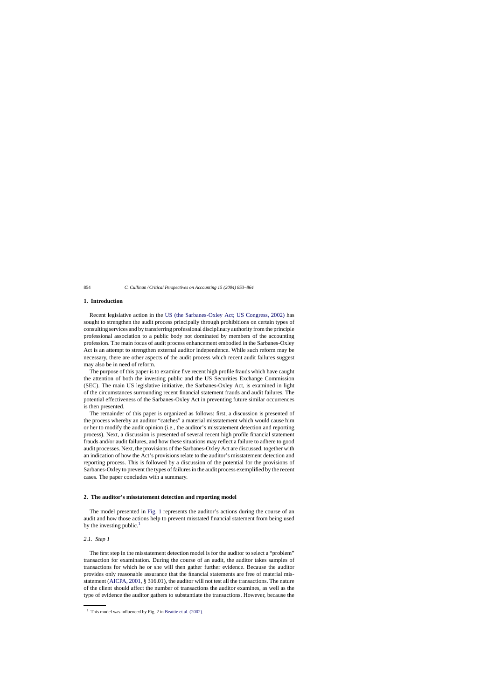## **1. Introduction**

Recent legislative action in the [US \(the Sarbanes-Oxley Act; US Congress, 2002\)](#page--1-0) has sought to strengthen the audit process principally through prohibitions on certain types of consulting services and by transferring professional disciplinary authority from the principle professional association to a public body not dominated by members of the accounting profession. The main focus of audit process enhancement embodied in the Sarbanes-Oxley Act is an attempt to strengthen external auditor independence. While such reform may be necessary, there are other aspects of the audit process which recent audit failures suggest may also be in need of reform.

The purpose of this paper is to examine five recent high profile frauds which have caught the attention of both the investing public and the US Securities Exchange Commission (SEC). The main US legislative initiative, the Sarbanes-Oxley Act, is examined in light of the circumstances surrounding recent financial statement frauds and audit failures. The potential effectiveness of the Sarbanes-Oxley Act in preventing future similar occurrences is then presented.

The remainder of this paper is organized as follows: first, a discussion is presented of the process whereby an auditor "catches" a material misstatement which would cause him or her to modify the audit opinion (i.e., the auditor's misstatement detection and reporting process). Next, a discussion is presented of several recent high profile financial statement frauds and/or audit failures, and how these situations may reflect a failure to adhere to good audit processes. Next, the provisions of the Sarbanes-Oxley Act are discussed, together with an indication of how the Act's provisions relate to the auditor's misstatement detection and reporting process. This is followed by a discussion of the potential for the provisions of Sarbanes-Oxley to prevent the types of failures in the audit process exemplified by the recent cases. The paper concludes with a summary.

#### **2. The auditor's misstatement detection and reporting model**

The model presented in [Fig. 1](#page--1-0) represents the auditor's actions during the course of an audit and how those actions help to prevent misstated financial statement from being used by the investing public. $<sup>1</sup>$ </sup>

### *2.1. Step 1*

The first step in the misstatement detection model is for the auditor to select a "problem" transaction for examination. During the course of an audit, the auditor takes samples of transactions for which he or she will then gather further evidence. Because the auditor provides only reasonable assurance that the financial statements are free of material misstatement [\(AICPA, 2001, §](#page--1-0) 316.01), the auditor will not test all the transactions. The nature of the client should affect the number of transactions the auditor examines, as well as the type of evidence the auditor gathers to substantiate the transactions. However, because the

 $1$  This model was influenced by Fig. 2 in [Beattie et al. \(2002\).](#page--1-0)